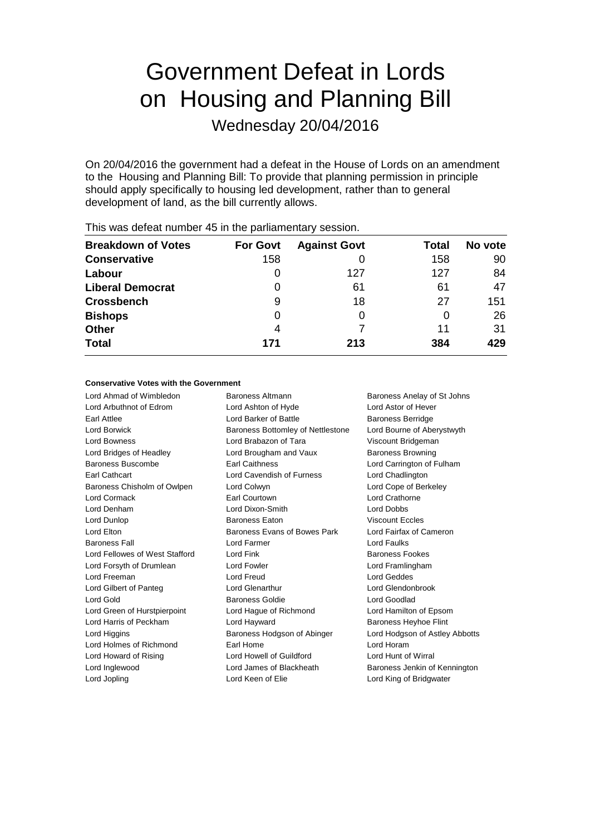# Government Defeat in Lords on Housing and Planning Bill

Wednesday 20/04/2016

On 20/04/2016 the government had a defeat in the House of Lords on an amendment to the Housing and Planning Bill: To provide that planning permission in principle should apply specifically to housing led development, rather than to general development of land, as the bill currently allows.

| <b>Breakdown of Votes</b> | <b>For Govt</b> | <b>Against Govt</b> | Total | No vote |
|---------------------------|-----------------|---------------------|-------|---------|
| <b>Conservative</b>       | 158             |                     | 158   | 90      |
| Labour                    | O               | 127                 | 127   | 84      |
| <b>Liberal Democrat</b>   | 0               | 61                  | 61    | 47      |
| <b>Crossbench</b>         | 9               | 18                  | 27    | 151     |
| <b>Bishops</b>            | O               |                     | O     | 26      |
| <b>Other</b>              | 4               |                     | 11    | 31      |
| <b>Total</b>              | 171             | 213                 | 384   | 429     |
|                           |                 |                     |       |         |

This was defeat number 45 in the parliamentary session.

#### **Conservative Votes with the Government**

Lord Ahmad of Wimbledon Baroness Altmann Baroness Anelay of St Johns Lord Arbuthnot of Edrom Lord Ashton of Hyde Lord Astor of Hever Earl Attlee **Lord Barker of Battle Baroness Berridge Lord Barker of Battle Baroness Berridge** Lord Borwick **Baroness Bottomley of Nettlestone** Lord Bourne of Aberystwyth Lord Bowness Lord Brabazon of Tara Viscount Bridgeman Lord Bridges of Headley Lord Brougham and Vaux Baroness Browning Baroness Buscombe **Earl Caithness** Lord Carrington of Fulham Earl Cathcart Lord Cavendish of Furness Lord Chadlington Baroness Chisholm of Owlpen Lord Colwyn Lord Cope of Berkeley Lord Cormack Earl Courtown Lord Crathorne Lord Denham Lord Dixon-Smith Lord Dobbs Lord Dunlop Baroness Eaton Viscount Eccles Lord Elton Baroness Evans of Bowes Park Lord Fairfax of Cameron Baroness Fall **Example 2** Lord Farmer **Lord Faultist Lord Faults** Lord Fellowes of West Stafford Lord Fink **Baroness Fookes** Baroness Fookes Lord Forsyth of Drumlean Lord Fowler Lord Framlingham Lord Freeman Lord Freud Lord Geddes Lord Gilbert of Panteg Lord Glenarthur Lord Glendonbrook Lord Gold Baroness Goldie Lord Goodlad Lord Green of Hurstpierpoint Lord Hague of Richmond Lord Hamilton of Epsom Lord Harris of Peckham Lord Hayward Baroness Heyhoe Flint Lord Higgins **Baroness Hodgson of Abinger** Lord Hodgson of Astley Abbotts Lord Holmes of Richmond **Earl Home** Earl Home Lord Horam Lord Howard of Rising Lord Howell of Guildford Lord Hunt of Wirral Lord Inglewood **Lord James of Blackheath** Baroness Jenkin of Kennington Lord Jopling Lord Keen of Elie Lord King of Bridgwater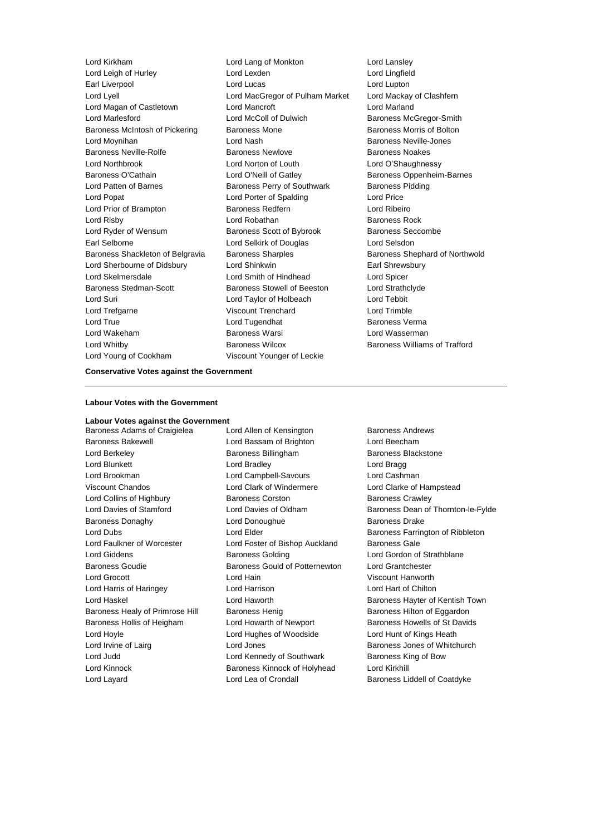Lord Leigh of Hurley Lord Lexden Lord Lingfield Earl Liverpool Lord Lucas Lord Lupton Lord Lyell **Lord MacGregor of Pulham Market Lord Mackay of Clashfern** Lord Magan of Castletown Lord Mancroft Lord Marland Lord Marlesford Lord McColl of Dulwich Baroness McGregor-Smith Baroness McIntosh of Pickering Baroness Mone Baroness Morris of Bolton Lord Moynihan **Lord Nash** Lord Nash Baroness Neville-Jones Baroness Neville-Rolfe Baroness Newlove Baroness Noakes Lord Northbrook Lord Norton of Louth Lord O'Shaughnessy Baroness O'Cathain **Lord O'Neill of Gatley** Baroness Oppenheim-Barnes Lord Patten of Barnes **Baroness Perry of Southwark** Baroness Pidding Lord Popat Lord Porter of Spalding Lord Price Lord Prior of Brampton Baroness Redfern Lord Ribeiro Lord Risby **Lord Robathan** Baroness Rock Lord Ryder of Wensum Baroness Scott of Bybrook Baroness Seccombe Earl Selborne Lord Selkirk of Douglas Lord Selsdon Baroness Shackleton of Belgravia Baroness Sharples Baroness Shephard of Northwold Lord Sherbourne of Didsbury Lord Shinkwin **Earl Shrewsbury** Lord Skelmersdale Lord Smith of Hindhead Lord Spicer Baroness Stedman-Scott **Baroness Stowell of Beeston** Lord Strathclyde Lord Suri Lord Taylor of Holbeach Lord Tebbit Lord Trefgarne Viscount Trenchard Lord Trimble Lord True Lord Tugendhat Baroness Verma Lord Wakeham Baroness Warsi Lord Wasserman Lord Whitby Baroness Wilcox Baroness Williams of Trafford Lord Young of Cookham Viscount Younger of Leckie

Lord Kirkham Lord Lang of Monkton Lord Lansley

#### **Conservative Votes against the Government**

#### **Labour Votes with the Government**

#### **Labour Votes against the Government**

Baroness Bakewell Lord Bassam of Brighton Lord Beecham Lord Berkeley **Baroness Billingham** Baroness Billingham Baroness Blackstone Lord Blunkett Lord Bradley Lord Bragg Lord Brookman Lord Campbell-Savours Lord Cashman Viscount Chandos Lord Clark of Windermere Lord Clarke of Hampstead Lord Collins of Highbury Baroness Corston Baroness Crawley Baroness Donaghy **Lord Donoughue** Baroness Drake Lord Faulkner of Worcester Lord Foster of Bishop Auckland Baroness Gale Lord Giddens **Baroness Golding** Lord Gordon of Strathblane Baroness Goudie Baroness Gould of Potternewton Lord Grantchester Lord Grocott Lord Hain Viscount Hanworth Lord Harris of Haringey Lord Harrison Lord Hart of Chilton Baroness Healy of Primrose Hill Baroness Henig Baroness Hilton of Eggardon Baroness Hollis of Heigham Lord Howarth of Newport Baroness Howells of St Davids Lord Hoyle Lord Hughes of Woodside Lord Hunt of Kings Heath Lord Irvine of Lairg **Lord Jones** Lord Jones **Baroness Jones of Whitchurch** Lord Judd **Lord Kennedy of Southwark** Baroness King of Bow Lord Kinnock Baroness Kinnock of Holyhead Lord Kirkhill

Baroness Adams of Craigielea Lord Allen of Kensington Baroness Andrews Lord Layard Lord Lea of Crondall Baroness Liddell of Coatdyke

Lord Davies of Stamford **Lord Davies of Oldham** Baroness Dean of Thornton-le-Fylde Lord Dubs **Lord Elder Baroness Farrington of Ribbleton** Lord Haskel **Lord Haworth Baroness Hayter of Kentish Town**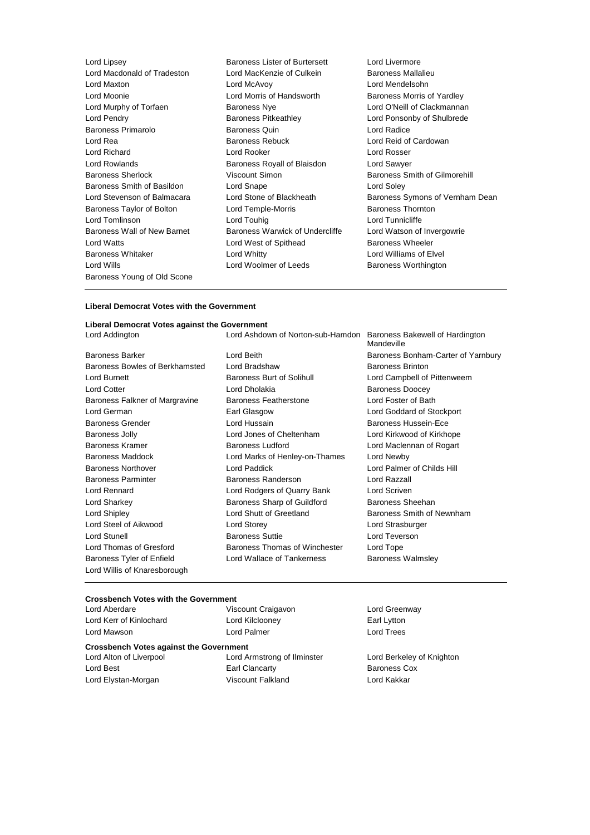| Lord Lipsey                 | <b>Baroness Lister of Burtersett</b> | Lord Livermo       |
|-----------------------------|--------------------------------------|--------------------|
| Lord Macdonald of Tradeston | Lord MacKenzie of Culkein            | <b>Baroness Ma</b> |
| Lord Maxton                 | Lord McAvoy                          | <b>Lord Mendel</b> |
| Lord Moonie                 | Lord Morris of Handsworth            | <b>Baroness Mo</b> |
| Lord Murphy of Torfaen      | <b>Baroness Nye</b>                  | Lord O'Neill       |
| Lord Pendry                 | Baroness Pitkeathley                 | Lord Ponson        |
| <b>Baroness Primarolo</b>   | <b>Baroness Quin</b>                 | Lord Radice        |
| Lord Rea                    | <b>Baroness Rebuck</b>               | Lord Reid of       |
| Lord Richard                | Lord Rooker                          | Lord Rosser        |
| Lord Rowlands               | Baroness Royall of Blaisdon          | Lord Sawyer        |
| <b>Baroness Sherlock</b>    | Viscount Simon                       | <b>Baroness Sn</b> |
| Baroness Smith of Basildon  | Lord Snape                           | Lord Soley         |
| Lord Stevenson of Balmacara | Lord Stone of Blackheath             | <b>Baroness Sy</b> |
| Baroness Taylor of Bolton   | Lord Temple-Morris                   | <b>Baroness Th</b> |
| Lord Tomlinson              | Lord Touhig                          | Lord Tunnicl       |
| Baroness Wall of New Barnet | Baroness Warwick of Undercliffe      | Lord Watson        |
| <b>Lord Watts</b>           | Lord West of Spithead                | <b>Baroness W</b>  |
| <b>Baroness Whitaker</b>    | Lord Whitty                          | Lord William       |
| Lord Wills                  | Lord Woolmer of Leeds                | <b>Baroness W</b>  |
| Baroness Young of Old Scone |                                      |                    |
|                             |                                      |                    |

rtersett Lord Livermore ulkein **Baroness Mallalieu** Lord Mendelsohn worth **Baroness Morris of Yardley** Lord O'Neill of Clackmannan Lord Ponsonby of Shulbrede Lord Reid of Cardowan Lord Rosser aisdon Lord Sawyer Baroness Smith of Gilmorehill Lord Soley eath Baroness Symons of Vernham Dean Baroness Thornton Lord Tunnicliffe Undercliffe Lord Watson of Invergowrie d Baroness Wheeler Lord Williams of Elvel ds **Baroness Worthington** 

#### **Liberal Democrat Votes with the Government**

## **Liberal Democrat Votes against the Government**

Baroness Barker **Lord Beith** Lord Beith Baroness Bonham-Carter of Yarnbury Baroness Bowles of Berkhamsted Lord Bradshaw Baroness Brinton Lord Burnett Baroness Burt of Solihull Lord Campbell of Pittenweem Lord Cotter **Lord Dholakia** Baroness Doocey Baroness Falkner of Margravine Baroness Featherstone Lord Foster of Bath Lord German Earl Glasgow Lord Goddard of Stockport Baroness Grender Lord Hussain Baroness Hussein-Ece Baroness Jolly Lord Jones of Cheltenham Lord Kirkwood of Kirkhope Baroness Kramer **Baroness Ludford** Lord Maclennan of Rogart Baroness Ludford Lord Maclennan of Rogart Baroness Maddock Lord Marks of Henley-on-Thames Lord Newby Baroness Northover Lord Paddick Lord Palmer of Childs Hill Baroness Parminter Baroness Randerson Lord Razzall Lord Rennard Lord Rodgers of Quarry Bank Lord Scriven Lord Sharkey **Baroness Sharp of Guildford** Baroness Sheehan Lord Shipley Lord Shutt of Greetland Baroness Smith of Newnham Lord Steel of Aikwood Lord Storey Lord Strasburger Lord Stunell **Baroness Suttie Lord Teverson** Lord Thomas of Gresford **Baroness Thomas of Winchester** Lord Tope Baroness Tyler of Enfield **Lord Wallace of Tankerness** Baroness Walmsley Lord Willis of Knaresborough

Lord Ashdown of Norton-sub-Hamdon Baroness Bakewell of Hardington Mandeville

#### **Crossbench Votes with the Government**

| Lord Aberdare                                  | Viscount Craigavon          |  |  |  |  |
|------------------------------------------------|-----------------------------|--|--|--|--|
| Lord Kerr of Kinlochard                        | Lord Kilclooney             |  |  |  |  |
| Lord Mawson                                    | Lord Palmer                 |  |  |  |  |
| <b>Crossbench Votes against the Government</b> |                             |  |  |  |  |
| Lord Alton of Liverpool                        | Lord Armstrong of Ilminster |  |  |  |  |
| Lord Best                                      | Earl Clancarty              |  |  |  |  |
| Lord Elystan-Morgan                            | <b>Viscount Falkland</b>    |  |  |  |  |
|                                                |                             |  |  |  |  |

Lord Greenway Earl Lytton Lord Trees

Lord Berkeley of Knighton Baroness Cox Lord Kakkar